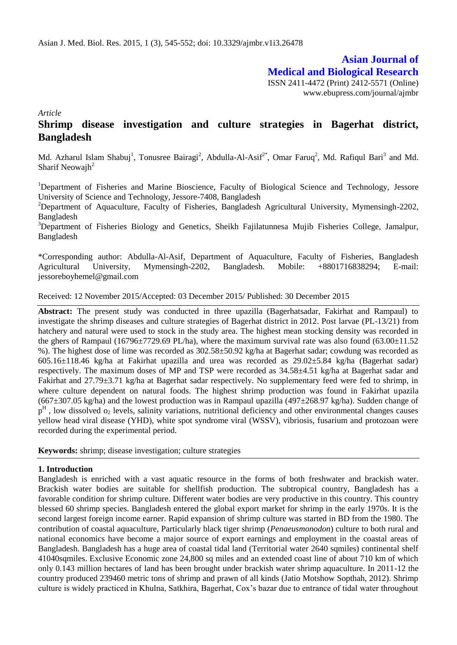# **Asian Journal of Medical and Biological Research**

ISSN 2411-4472 (Print) 2412-5571 (Online) www.ebupress.com/journal/ajmbr

*Article*

# **Shrimp disease investigation and culture strategies in Bagerhat district, Bangladesh**

Md. Azharul Islam Shabuj<sup>1</sup>, Tonusree Bairagi<sup>2</sup>, Abdulla-Al-Asif<sup>2\*</sup>, Omar Faruq<sup>2</sup>, Md. Rafiqul Bari<sup>3</sup> and Md. Sharif Neowajh $2$ 

<sup>1</sup>Department of Fisheries and Marine Bioscience, Faculty of Biological Science and Technology, Jessore University of Science and Technology, Jessore-7408, Bangladesh

<sup>2</sup>Department of Aquaculture, Faculty of Fisheries, Bangladesh Agricultural University, Mymensingh-2202, Bangladesh

<sup>3</sup>Department of Fisheries Biology and Genetics, Sheikh Fajilatunnesa Mujib Fisheries College, Jamalpur, Bangladesh

\*Corresponding author: Abdulla-Al-Asif, Department of Aquaculture, Faculty of Fisheries, Bangladesh Agricultural University, Mymensingh-2202, Bangladesh. Mobile: +8801716838294; E-mail: jessoreboyhemel@gmail.com

Received: 12 November 2015/Accepted: 03 December 2015/ Published: 30 December 2015

**Abstract:** The present study was conducted in three upazilla (Bagerhatsadar, Fakirhat and Rampaul) to investigate the shrimp diseases and culture strategies of Bagerhat district in 2012. Post larvae (PL-13/21) from hatchery and natural were used to stock in the study area. The highest mean stocking density was recorded in the ghers of Rampaul (16796 $\pm$ 7729.69 PL/ha), where the maximum survival rate was also found (63.00 $\pm$ 11.52 %). The highest dose of lime was recorded as 302.58±50.92 kg/ha at Bagerhat sadar; cowdung was recorded as 605.16±118.46 kg/ha at Fakirhat upazilla and urea was recorded as 29.02±5.84 kg/ha (Bagerhat sadar) respectively. The maximum doses of MP and TSP were recorded as 34.58±4.51 kg/ha at Bagerhat sadar and Fakirhat and 27.79±3.71 kg/ha at Bagerhat sadar respectively. No supplementary feed were fed to shrimp, in where culture dependent on natural foods. The highest shrimp production was found in Fakirhat upazila  $(667\pm307.05 \text{ kg/ha})$  and the lowest production was in Rampaul upazilla  $(497\pm268.97 \text{ kg/ha})$ . Sudden change of  $p<sup>H</sup>$ , low dissolved  $o<sub>2</sub>$  levels, salinity variations, nutritional deficiency and other environmental changes causes yellow head viral disease (YHD), white spot syndrome viral (WSSV), vibriosis, fusarium and protozoan were recorded during the experimental period.

**Keywords:** shrimp; disease investigation; culture strategies

#### **1. Introduction**

Bangladesh is enriched with a vast aquatic resource in the forms of both freshwater and brackish water. Brackish water bodies are suitable for shellfish production. The subtropical country, Bangladesh has a favorable condition for shrimp culture. Different water bodies are very productive in this country. This country blessed 60 shrimp species. Bangladesh entered the global export market for shrimp in the early 1970s. It is the second largest foreign income earner. Rapid expansion of shrimp culture was started in BD from the 1980. The contribution of coastal aquaculture, Particularly black tiger shrimp (*Penaeusmonodon*) culture to both rural and national economics have become a major source of export earnings and employment in the coastal areas of Bangladesh. Bangladesh has a huge area of coastal tidal land (Territorial water 2640 sqmiles) continental shelf 41040sqmiles. Exclusive Economic zone 24,800 sq miles and an extended coast line of about 710 km of which only 0.143 million hectares of land has been brought under brackish water shrimp aquaculture. In 2011-12 the country produced 239460 metric tons of shrimp and prawn of all kinds (Jatio Motshow Sopthah, 2012). Shrimp culture is widely practiced in Khulna, Satkhira, Bagerhat, Cox's bazar due to entrance of tidal water throughout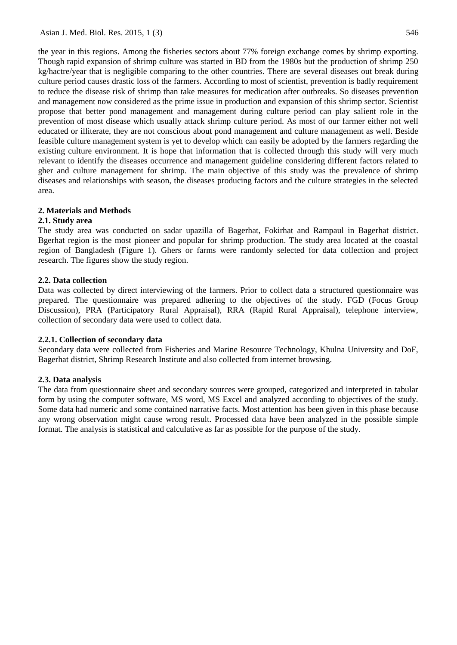the year in this regions. Among the fisheries sectors about 77% foreign exchange comes by shrimp exporting. Though rapid expansion of shrimp culture was started in BD from the 1980s but the production of shrimp 250 kg/hactre/year that is negligible comparing to the other countries. There are several diseases out break during culture period causes drastic loss of the farmers. According to most of scientist, prevention is badly requirement to reduce the disease risk of shrimp than take measures for medication after outbreaks. So diseases prevention and management now considered as the prime issue in production and expansion of this shrimp sector. Scientist propose that better pond management and management during culture period can play salient role in the prevention of most disease which usually attack shrimp culture period. As most of our farmer either not well educated or illiterate, they are not conscious about pond management and culture management as well. Beside feasible culture management system is yet to develop which can easily be adopted by the farmers regarding the existing culture environment. It is hope that information that is collected through this study will very much relevant to identify the diseases occurrence and management guideline considering different factors related to gher and culture management for shrimp. The main objective of this study was the prevalence of shrimp diseases and relationships with season, the diseases producing factors and the culture strategies in the selected area.

## **2. Materials and Methods**

## **2.1. Study area**

The study area was conducted on sadar upazilla of Bagerhat, Fokirhat and Rampaul in Bagerhat district. Bgerhat region is the most pioneer and popular for shrimp production. The study area located at the coastal region of Bangladesh (Figure 1). Ghers or farms were randomly selected for data collection and project research. The figures show the study region.

## **2.2. Data collection**

Data was collected by direct interviewing of the farmers. Prior to collect data a structured questionnaire was prepared. The questionnaire was prepared adhering to the objectives of the study. FGD (Focus Group Discussion), PRA (Participatory Rural Appraisal), RRA (Rapid Rural Appraisal), telephone interview, collection of secondary data were used to collect data.

#### **2.2.1. Collection of secondary data**

Secondary data were collected from Fisheries and Marine Resource Technology, Khulna University and DoF, Bagerhat district, Shrimp Research Institute and also collected from internet browsing.

#### **2.3. Data analysis**

The data from questionnaire sheet and secondary sources were grouped, categorized and interpreted in tabular form by using the computer software, MS word, MS Excel and analyzed according to objectives of the study. Some data had numeric and some contained narrative facts. Most attention has been given in this phase because any wrong observation might cause wrong result. Processed data have been analyzed in the possible simple format. The analysis is statistical and calculative as far as possible for the purpose of the study.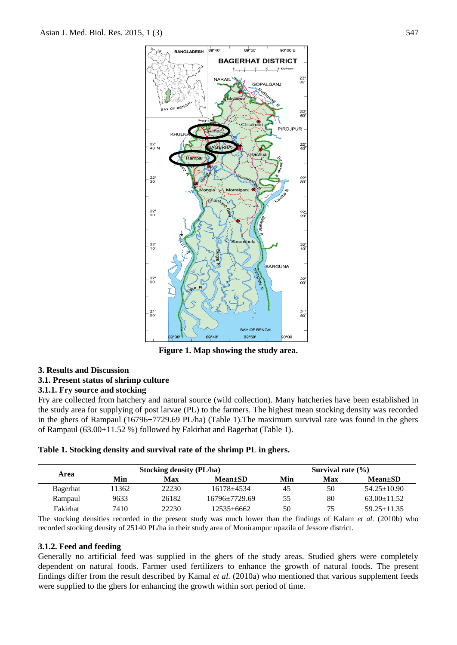

**Figure 1. Map showing the study area.**

# **3. Results and Discussion**

**3.1. Present status of shrimp culture**

# **3.1.1. Fry source and stocking**

Fry are collected from hatchery and natural source (wild collection). Many hatcheries have been established in the study area for supplying of post larvae (PL) to the farmers. The highest mean stocking density was recorded in the ghers of Rampaul (16796±7729.69 PL/ha) (Table 1).The maximum survival rate was found in the ghers of Rampaul (63.00±11.52 %) followed by Fakirhat and Bagerhat (Table 1).

#### **Table 1. Stocking density and survival rate of the shrimp PL in ghers.**

| Area     | <b>Stocking density (PL/ha)</b> |       |                | Survival rate $(\% )$ |     |                   |  |
|----------|---------------------------------|-------|----------------|-----------------------|-----|-------------------|--|
|          | Min                             | Max   | $Mean \pm SD$  | Min                   | Max | $Mean \pm SD$     |  |
| Bagerhat | 1362                            | 22230 | 16178+4534     | 45                    | 50  | $54.25 \pm 10.90$ |  |
| Rampaul  | 9633                            | 26182 | 16796+7729.69  | 55                    | 80  | $63.00 \pm 11.52$ |  |
| Fakirhat | 7410                            | 22230 | $12535 + 6662$ | 50                    | 75  | $59.25 \pm 11.35$ |  |

The stocking densities recorded in the present study was much lower than the findings of Kalam *et al.* (2010b) who recorded stocking density of 25140 PL/ha in their study area of Monirampur upazila of Jessore district.

#### **3.1.2. Feed and feeding**

Generally no artificial feed was supplied in the ghers of the study areas. Studied ghers were completely dependent on natural foods. Farmer used fertilizers to enhance the growth of natural foods. The present findings differ from the result described by Kamal *et al.* (2010a) who mentioned that various supplement feeds were supplied to the ghers for enhancing the growth within sort period of time.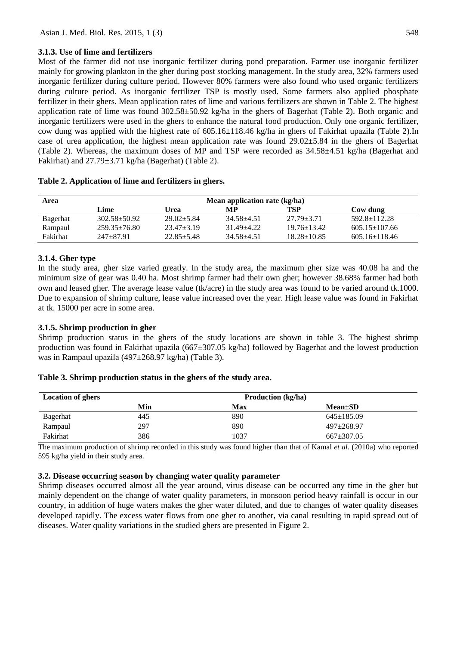## **3.1.3. Use of lime and fertilizers**

Most of the farmer did not use inorganic fertilizer during pond preparation. Farmer use inorganic fertilizer mainly for growing plankton in the gher during post stocking management. In the study area, 32% farmers used inorganic fertilizer during culture period. However 80% farmers were also found who used organic fertilizers during culture period. As inorganic fertilizer TSP is mostly used. Some farmers also applied phosphate fertilizer in their ghers. Mean application rates of lime and various fertilizers are shown in Table 2. The highest application rate of lime was found 302.58±50.92 kg/ha in the ghers of Bagerhat (Table 2). Both organic and inorganic fertilizers were used in the ghers to enhance the natural food production. Only one organic fertilizer, cow dung was applied with the highest rate of  $605.16\pm118.46$  kg/ha in ghers of Fakirhat upazila (Table 2). In case of urea application, the highest mean application rate was found  $29.02\pm5.84$  in the ghers of Bagerhat (Table 2). Whereas, the maximum doses of MP and TSP were recorded as 34.58±4.51 kg/ha (Bagerhat and Fakirhat) and 27.79±3.71 kg/ha (Bagerhat) (Table 2).

| Area     | Mean application rate (kg/ha) |                  |            |                   |                     |  |
|----------|-------------------------------|------------------|------------|-------------------|---------------------|--|
|          | Lime                          | Urea             | MР         | TSP               | Cow dung            |  |
| Bagerhat | $302.58 + 50.92$              | $29.02 \pm 5.84$ | 34.58+4.51 | $27.79 \pm 3.71$  | $592.8 \pm 112.28$  |  |
| Rampaul  | $259.35 \pm 76.80$            | $23.47 \pm 3.19$ | 31.49+4.22 | $19.76 \pm 13.42$ | $605.15 \pm 107.66$ |  |
| Fakirhat | 247+87.91                     | $22.85 \pm 5.48$ | 34.58+4.51 | $18.28 \pm 10.85$ | $605.16 \pm 118.46$ |  |

#### **Table 2. Application of lime and fertilizers in ghers.**

#### **3.1.4. Gher type**

In the study area, gher size varied greatly. In the study area, the maximum gher size was 40.08 ha and the minimum size of gear was 0.40 ha. Most shrimp farmer had their own gher; however 38.68% farmer had both own and leased gher. The average lease value (tk/acre) in the study area was found to be varied around tk.1000. Due to expansion of shrimp culture, lease value increased over the year. High lease value was found in Fakirhat at tk. 15000 per acre in some area.

#### **3.1.5. Shrimp production in gher**

Shrimp production status in the ghers of the study locations are shown in table 3. The highest shrimp production was found in Fakirhat upazila (667±307.05 kg/ha) followed by Bagerhat and the lowest production was in Rampaul upazila (497±268.97 kg/ha) (Table 3).

#### **Table 3. Shrimp production status in the ghers of the study area.**

| <b>Location of ghers</b> | <b>Production</b> (kg/ha) |      |                  |  |
|--------------------------|---------------------------|------|------------------|--|
|                          | Min                       | Max  | $Mean \pm SD$    |  |
| Bagerhat                 | 445                       | 890  | $645 \pm 185.09$ |  |
| Rampaul                  | 297                       | 890  | $497 \pm 268.97$ |  |
| Fakirhat                 | 386                       | 1037 | $667 \pm 307.05$ |  |

The maximum production of shrimp recorded in this study was found higher than that of Kamal *et al*. (2010a) who reported 595 kg/ha yield in their study area.

#### **3.2. Disease occurring season by changing water quality parameter**

Shrimp diseases occurred almost all the year around, virus disease can be occurred any time in the gher but mainly dependent on the change of water quality parameters, in monsoon period heavy rainfall is occur in our country, in addition of huge waters makes the gher water diluted, and due to changes of water quality diseases developed rapidly. The excess water flows from one gher to another, via canal resulting in rapid spread out of diseases. Water quality variations in the studied ghers are presented in Figure 2.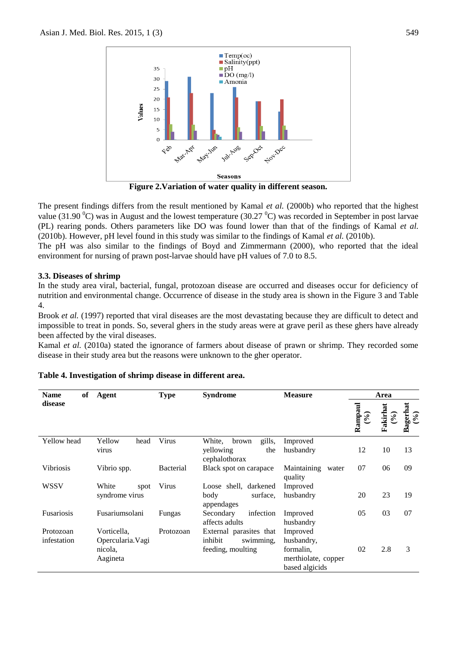

**Figure 2.Variation of water quality in different season.**

The present findings differs from the result mentioned by Kamal *et al.* (2000b) who reported that the highest value (31.90  $^{\circ}$ C) was in August and the lowest temperature (30.27  $^{\circ}$ C) was recorded in September in post larvae (PL) rearing ponds. Others parameters like DO was found lower than that of the findings of Kamal *et al.* (2010b). However, pH level found in this study was similar to the findings of Kamal *et al.* (2010b).

The pH was also similar to the findings of Boyd and Zimmermann (2000), who reported that the ideal environment for nursing of prawn post-larvae should have pH values of 7.0 to 8.5.

#### **3.3. Diseases of shrimp**

In the study area viral, bacterial, fungal, protozoan disease are occurred and diseases occur for deficiency of nutrition and environmental change. Occurrence of disease in the study area is shown in the Figure 3 and Table 4.

Brook *et al.* (1997) reported that viral diseases are the most devastating because they are difficult to detect and impossible to treat in ponds. So, several ghers in the study areas were at grave peril as these ghers have already been affected by the viral diseases.

Kamal *et al.* (2010a) stated the ignorance of farmers about disease of prawn or shrimp. They recorded some disease in their study area but the reasons were unknown to the gher operator.

| of<br><b>Name</b>        | <b>Agent</b>                                            | <b>Type</b>      | <b>Syndrome</b>                                                      | <b>Measure</b>                                                               | Area             |                           |                     |
|--------------------------|---------------------------------------------------------|------------------|----------------------------------------------------------------------|------------------------------------------------------------------------------|------------------|---------------------------|---------------------|
| disease                  |                                                         |                  |                                                                      |                                                                              | Rampaul<br>(9/0) | Fakirhat<br>$\mathcal{E}$ | Bagerhat<br>$(°_0)$ |
| Yellow head              | Yellow<br>head<br>virus                                 | Virus            | gills,<br>White,<br>brown<br>the<br>yellowing<br>cephalothorax       | Improved<br>husbandry                                                        | 12               | 10                        | 13                  |
| <b>Vibriosis</b>         | Vibrio spp.                                             | <b>Bacterial</b> | Black spot on carapace                                               | Maintaining water<br>quality                                                 | 07               | 06                        | 09                  |
| WSSV                     | White<br>spot<br>syndrome virus                         | Virus            | Loose shell, darkened<br>surface.<br>body<br>appendages              | Improved<br>husbandry                                                        | 20               | 23                        | 19                  |
| <b>Fusariosis</b>        | Fusariumsolani                                          | Fungas           | infection<br>Secondary<br>affects adults                             | Improved<br>husbandry                                                        | 05               | 03                        | 07                  |
| Protozoan<br>infestation | Vorticella,<br>Opercularia. Vagi<br>nicola,<br>Aagineta | Protozoan        | External parasites that<br>inhibit<br>swimming,<br>feeding, moulting | Improved<br>husbandry,<br>formalin,<br>merthiolate, copper<br>based algicids | 02               | 2.8                       | 3                   |

## **Table 4. Investigation of shrimp disease in different area.**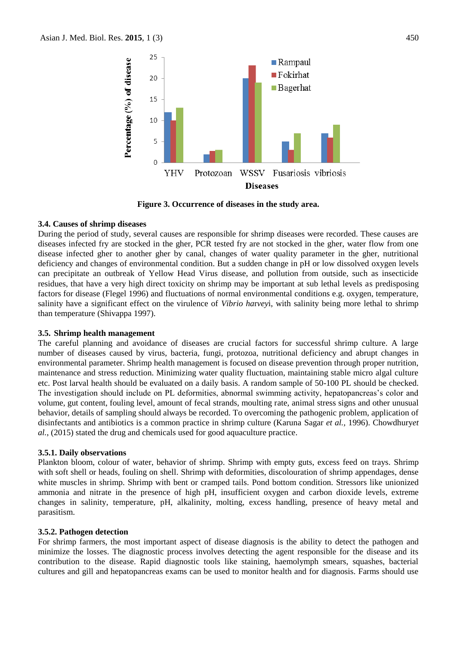

**Figure 3. Occurrence of diseases in the study area.**

#### **3.4. Causes of shrimp diseases**

During the period of study, several causes are responsible for shrimp diseases were recorded. These causes are diseases infected fry are stocked in the gher, PCR tested fry are not stocked in the gher, water flow from one disease infected gher to another gher by canal, changes of water quality parameter in the gher, nutritional deficiency and changes of environmental condition. But a sudden change in pH or low dissolved oxygen levels can precipitate an outbreak of Yellow Head Virus disease, and pollution from outside, such as insecticide residues, that have a very high direct toxicity on shrimp may be important at sub lethal levels as predisposing factors for disease (Flegel 1996) and fluctuations of normal environmental conditions e.g. oxygen, temperature, salinity have a significant effect on the virulence of *Vibrio ha*r*vey*i, with salinity being more lethal to shrimp than temperature (Shivappa 1997).

#### **3.5. Shrimp health management**

The careful planning and avoidance of diseases are crucial factors for successful shrimp culture. A large number of diseases caused by virus, bacteria, fungi, protozoa, nutritional deficiency and abrupt changes in environmental parameter. Shrimp health management is focused on disease prevention through proper nutrition, maintenance and stress reduction. Minimizing water quality fluctuation, maintaining stable micro algal culture etc. Post larval health should be evaluated on a daily basis. A random sample of 50-100 PL should be checked. The investigation should include on PL deformities, abnormal swimming activity, hepatopancreas's color and volume, gut content, fouling level, amount of fecal strands, moulting rate, animal stress signs and other unusual behavior, details of sampling should always be recorded. To overcoming the pathogenic problem, application of disinfectants and antibiotics is a common practice in shrimp culture (Karuna Sagar *et al.,* 1996). Chowdhury*et al.*, (2015) stated the drug and chemicals used for good aquaculture practice.

#### **3.5.1. Daily observations**

Plankton bloom, colour of water, behavior of shrimp. Shrimp with empty guts, excess feed on trays. Shrimp with soft shell or heads, fouling on shell. Shrimp with deformities, discolouration of shrimp appendages, dense white muscles in shrimp. Shrimp with bent or cramped tails. Pond bottom condition. Stressors like unionized ammonia and nitrate in the presence of high pH, insufficient oxygen and carbon dioxide levels, extreme changes in salinity, temperature, pH, alkalinity, molting, excess handling, presence of heavy metal and parasitism.

#### **3.5.2. Pathogen detection**

For shrimp farmers, the most important aspect of disease diagnosis is the ability to detect the pathogen and minimize the losses. The diagnostic process involves detecting the agent responsible for the disease and its contribution to the disease. Rapid diagnostic tools like staining, haemolymph smears, squashes, bacterial cultures and gill and hepatopancreas exams can be used to monitor health and for diagnosis. Farms should use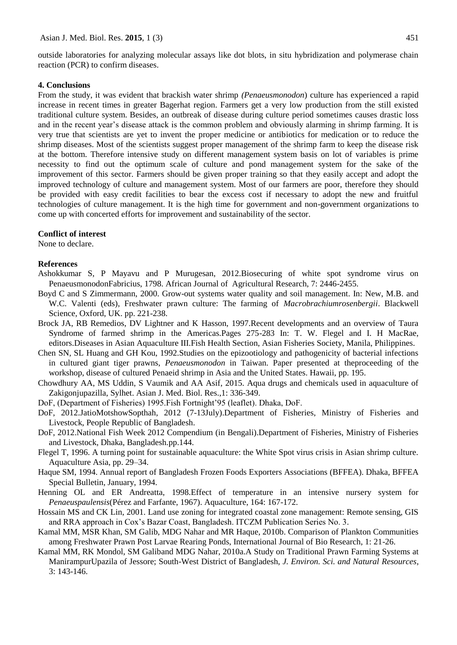outside laboratories for analyzing molecular assays like dot blots, in situ hybridization and polymerase chain reaction (PCR) to confirm diseases.

#### **4. Conclusions**

From the study, it was evident that brackish water shrimp *(Penaeusmonodon*) culture has experienced a rapid increase in recent times in greater Bagerhat region. Farmers get a very low production from the still existed traditional culture system. Besides, an outbreak of disease during culture period sometimes causes drastic loss and in the recent year's disease attack is the common problem and obviously alarming in shrimp farming. It is very true that scientists are yet to invent the proper medicine or antibiotics for medication or to reduce the shrimp diseases. Most of the scientists suggest proper management of the shrimp farm to keep the disease risk at the bottom. Therefore intensive study on different management system basis on lot of variables is prime necessity to find out the optimum scale of culture and pond management system for the sake of the improvement of this sector. Farmers should be given proper training so that they easily accept and adopt the improved technology of culture and management system. Most of our farmers are poor, therefore they should be provided with easy credit facilities to bear the excess cost if necessary to adopt the new and fruitful technologies of culture management. It is the high time for government and non-government organizations to come up with concerted efforts for improvement and sustainability of the sector.

#### **Conflict of interest**

None to declare.

#### **References**

- Ashokkumar S, P Mayavu and P Murugesan, 2012.Biosecuring of white spot syndrome virus on PenaeusmonodonFabricius, 1798. African Journal of Agricultural Research, 7: 2446-2455.
- Boyd C and S Zimmermann, 2000. Grow-out systems water quality and soil management. In: New, M.B. and W.C. Valenti (eds), Freshwater prawn culture: The farming of *Macrobrachiumrosenbergii*. Blackwell Science, Oxford, UK. pp. 221-238.
- Brock JA, RB Remedios, DV Lightner and K Hasson, 1997.Recent developments and an overview of Taura Syndrome of farmed shrimp in the Americas.Pages 275-283 In: T. W. Flegel and I. H MacRae, editors.Diseases in Asian Aquaculture III.Fish Health Section, Asian Fisheries Society, Manila, Philippines.
- Chen SN, SL Huang and GH Kou, 1992.Studies on the epizootiology and pathogenicity of bacterial infections in cultured giant tiger prawns, *Penaeusmonodon* in Taiwan. Paper presented at theproceeding of the workshop, disease of cultured Penaeid shrimp in Asia and the United States. Hawaii, pp. 195.
- Chowdhury AA, MS Uddin, S Vaumik and AA Asif, 2015. Aqua drugs and chemicals used in aquaculture of Zakigonjupazilla, Sylhet. Asian J. Med. Biol. Res.,1: 336-349.
- DoF, (Department of Fisheries) 1995.Fish Fortnight'95 (leaflet). Dhaka, DoF.
- DoF, 2012.JatioMotshowSopthah, 2012 (7-13July).Department of Fisheries, Ministry of Fisheries and Livestock, People Republic of Bangladesh.
- DoF, 2012.National Fish Week 2012 Compendium (in Bengali).Department of Fisheries, Ministry of Fisheries and Livestock, Dhaka, Bangladesh.pp.144.
- Flegel T, 1996. A turning point for sustainable aquaculture: the White Spot virus crisis in Asian shrimp culture. Aquaculture Asia, pp. 29–34.
- Haque SM, 1994. Annual report of Bangladesh Frozen Foods Exporters Associations (BFFEA). Dhaka, BFFEA Special Bulletin, January, 1994.
- Henning OL and ER Andreatta, 1998.Effect of temperature in an intensive nursery system for *Penaeuspaulensis*(Pérez and Farfante, 1967). Aquaculture, 164: 167-172.
- Hossain MS and CK Lin, 2001. Land use zoning for integrated coastal zone management: Remote sensing, GIS and RRA approach in Cox's Bazar Coast, Bangladesh. ITCZM Publication Series No. 3.
- Kamal MM, MSR Khan, SM Galib, MDG Nahar and MR Haque, 2010b. Comparison of Plankton Communities among Freshwater Prawn Post Larvae Rearing Ponds, International Journal of Bio Research, 1: 21-26.
- Kamal MM, RK Mondol, SM Galiband MDG Nahar, 2010a.A Study on Traditional Prawn Farming Systems at ManirampurUpazila of Jessore; South-West District of Bangladesh, *J. Environ. Sci. and Natural Resources*, 3: 143-146.